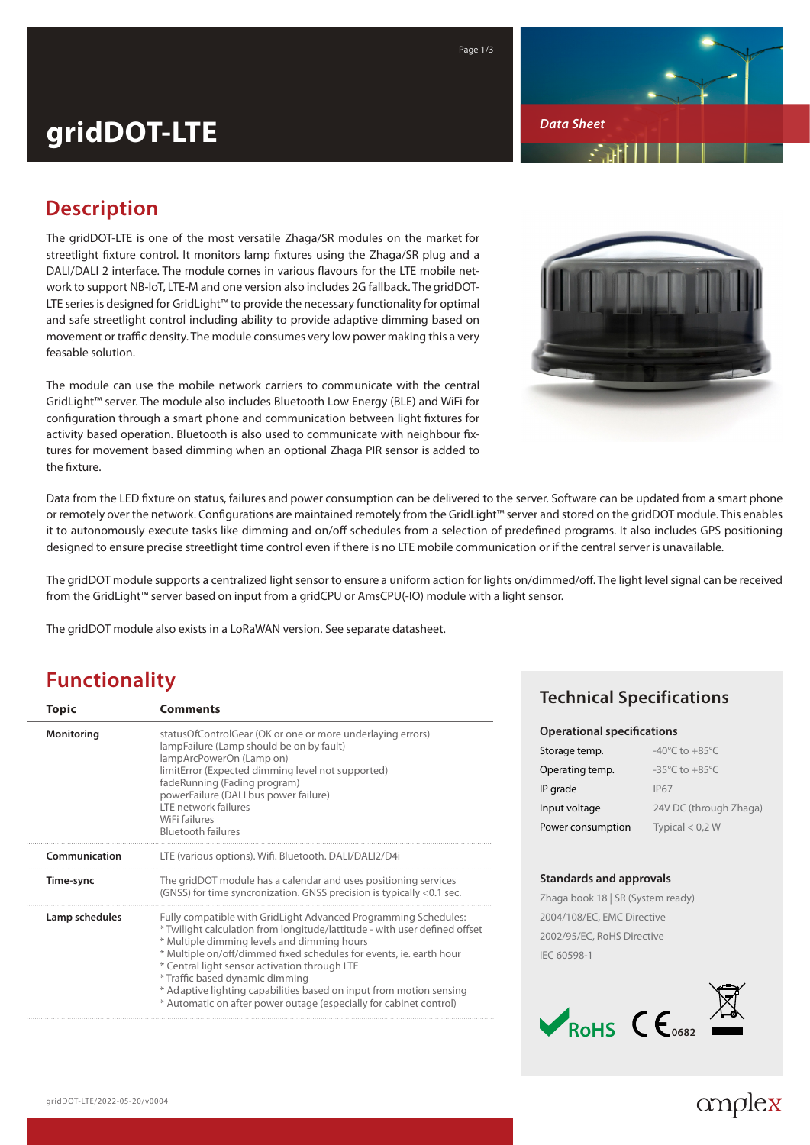

*Data Sheet*

# **gridDOT-LTE**

## **Description**

The gridDOT-LTE is one of the most versatile Zhaga/SR modules on the market for streetlight fixture control. It monitors lamp fixtures using the Zhaga/SR plug and a DALI/DALI 2 interface. The module comes in various flavours for the LTE mobile network to support NB-IoT, LTE-M and one version also includes 2G fallback. The gridDOT-LTE series is designed for GridLight™ to provide the necessary functionality for optimal and safe streetlight control including ability to provide adaptive dimming based on movement or traffic density. The module consumes very low power making this a very feasable solution.

The module can use the mobile network carriers to communicate with the central GridLight™ server. The module also includes Bluetooth Low Energy (BLE) and WiFi for configuration through a smart phone and communication between light fixtures for activity based operation. Bluetooth is also used to communicate with neighbour fixtures for movement based dimming when an optional Zhaga PIR sensor is added to the fixture.



Data from the LED fixture on status, failures and power consumption can be delivered to the server. Software can be updated from a smart phone or remotely over the network. Configurations are maintained remotely from the GridLight™ server and stored on the gridDOT module. This enables it to autonomously execute tasks like dimming and on/off schedules from a selection of predefined programs. It also includes GPS positioning designed to ensure precise streetlight time control even if there is no LTE mobile communication or if the central server is unavailable.

The gridDOT module supports a centralized light sensor to ensure a uniform action for lights on/dimmed/off. The light level signal can be received from the GridLight™ server based on input from a gridCPU or AmsCPU(-IO) module with a light sensor.

The gridDOT module also exists in a LoRaWAN version. See separate [datasheet.](https://amplex.dk/wp-content/uploads/ds_GridDot.pdf)

#### **Functionality**

| <b>Topic</b>   | <b>Comments</b>                                                                                                                                                                                                                                                                                                                                                                                                                                                                                      |
|----------------|------------------------------------------------------------------------------------------------------------------------------------------------------------------------------------------------------------------------------------------------------------------------------------------------------------------------------------------------------------------------------------------------------------------------------------------------------------------------------------------------------|
| Monitoring     | status Of Control Gear (OK or one or more underlaying errors)<br>lampFailure (Lamp should be on by fault)<br>lampArcPowerOn (Lamp on)<br>limitError (Expected dimming level not supported)<br>fadeRunning (Fading program)<br>powerFailure (DALI bus power failure)<br>LTE network failures<br>WiFi failures<br><b>Bluetooth failures</b>                                                                                                                                                            |
| Communication  | LTE (various options). Wifi. Bluetooth. DALI/DALI2/D4i                                                                                                                                                                                                                                                                                                                                                                                                                                               |
| Time-sync      | The gridDOT module has a calendar and uses positioning services<br>(GNSS) for time syncronization. GNSS precision is typically <0.1 sec.                                                                                                                                                                                                                                                                                                                                                             |
| Lamp schedules | Fully compatible with GridLight Advanced Programming Schedules:<br>* Twilight calculation from longitude/lattitude - with user defined offset<br>* Multiple dimming levels and dimming hours<br>* Multiple on/off/dimmed fixed schedules for events, ie. earth hour<br>* Central light sensor activation through LTE<br>* Traffic based dynamic dimming<br>* Adaptive lighting capabilities based on input from motion sensing<br>* Automatic on after power outage (especially for cabinet control) |

#### **Technical Specifications**

| <b>Operational specifications</b> |                                      |  |  |
|-----------------------------------|--------------------------------------|--|--|
| Storage temp.                     | -40 $^{\circ}$ C to +85 $^{\circ}$ C |  |  |
| Operating temp.                   | $-35^{\circ}$ C to $+85^{\circ}$ C   |  |  |
| IP grade                          | <b>IP67</b>                          |  |  |
| Input voltage                     | 24V DC (through Zhaga)               |  |  |
| Power consumption                 | Typical $< 0.2 W$                    |  |  |
|                                   |                                      |  |  |

#### **Standards and approvals**

Zhaga book 18 | SR (System ready) 2004/108/EC, EMC Directive 2002/95/EC, RoHS Directive IEC 60598-1



## amplex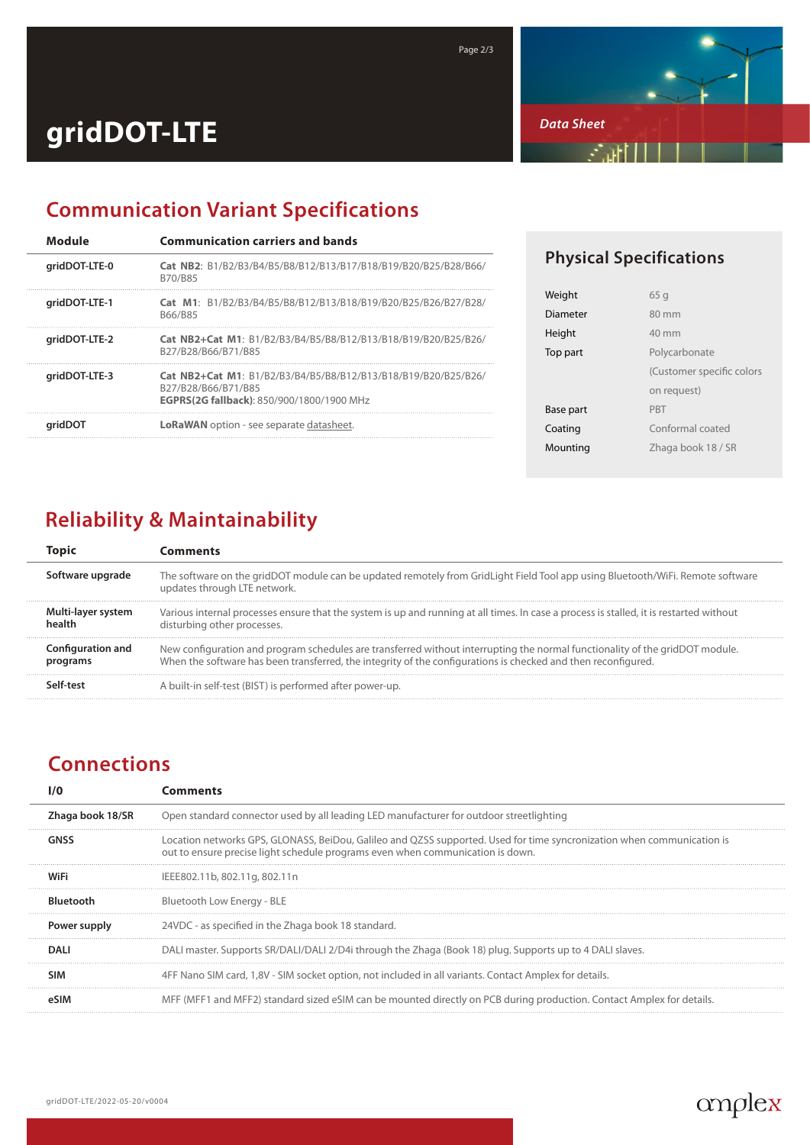

# **gridDOT-LTE**

## **Communication Variant Specifications**

| Module        | <b>Communication carriers and bands</b>                                                                                            |
|---------------|------------------------------------------------------------------------------------------------------------------------------------|
| qridDOT-LTE-0 | Cat NB2: B1/B2/B3/B4/B5/B8/B12/B13/B17/B18/B19/B20/B25/B28/B66/<br>B70/B85                                                         |
| aridDOT-LTE-1 | Cat M1: B1/B2/B3/B4/B5/B8/B12/B13/B18/B19/B20/B25/B26/B27/B28/<br>B66/B85                                                          |
| gridDOT-LTE-2 | Cat NB2+Cat M1: B1/B2/B3/B4/B5/B8/B12/B13/B18/B19/B20/B25/B26/<br>B27/B28/B66/B71/B85                                              |
| qridDOT-LTE-3 | Cat NB2+Cat M1: B1/B2/B3/B4/B5/B8/B12/B13/B18/B19/B20/B25/B26/<br>B27/B28/B66/B71/B85<br>EGPRS(2G fallback): 850/900/1800/1900 MHz |
| aridDOT       | <b>LoRaWAN</b> option - see separate datasheet.                                                                                    |

#### **Physical Specifications**

| 65 g                      |
|---------------------------|
| $80 \text{ mm}$           |
| $40 \text{ mm}$           |
| Polycarbonate             |
| (Customer specific colors |
| on request)               |
| <b>PRT</b>                |
| Conformal coated          |
| Zhaga book 18 / SR        |
|                           |

## **Reliability & Maintainability**

|                               | Comments                                                                                                                                                                                                                                      |
|-------------------------------|-----------------------------------------------------------------------------------------------------------------------------------------------------------------------------------------------------------------------------------------------|
| Software upgrade              | The software on the gridDOT module can be updated remotely from GridLight Field Tool app using Bluetooth/WiFi. Remote software<br>updates through LTE network.                                                                                |
| Multi-layer system            | Various internal processes ensure that the system is up and running at all times. In case a process is stalled, it is restarted without<br>disturbing other processes.                                                                        |
| Configuration and<br>programs | New configuration and program schedules are transferred without interrupting the normal functionality of the gridDOT module.<br>When the software has been transferred, the integrity of the configurations is checked and then reconfigured. |
|                               | A built-in self-test (BIST) is performed after power-up.                                                                                                                                                                                      |

Page 2/3

## **Connections**

|                  | ៉ុណាments                                                                                                                                                                                                |  |
|------------------|----------------------------------------------------------------------------------------------------------------------------------------------------------------------------------------------------------|--|
| Zhaga book 18/SR | Open standard connector used by all leading LED manufacturer for outdoor streetlighting                                                                                                                  |  |
|                  | Location networks GPS, GLONASS, BeiDou, Galileo and QZSS supported. Used for time syncronization when communication is<br>out to ensure precise light schedule programs even when communication is down. |  |
|                  | IEEE802.11b, 802.11g, 802.11n                                                                                                                                                                            |  |
| <b>Bluetooth</b> | Bluetooth Low Energy - BLE                                                                                                                                                                               |  |
| Power supply     | 24VDC - as specified in the Zhaga book 18 standard.                                                                                                                                                      |  |
| DALI             | DALI master. Supports SR/DALI/DALI 2/D4i through the Zhaga (Book 18) plug. Supports up to 4 DALI slaves.                                                                                                 |  |
| SIM              | 4FF Nano SIM card, 1,8V - SIM socket option, not included in all variants. Contact Amplex for details.                                                                                                   |  |
|                  | MFF (MFF1 and MFF2) standard sized eSIM can be mounted directly on PCB during production. Contact Amplex for details.                                                                                    |  |
|                  |                                                                                                                                                                                                          |  |